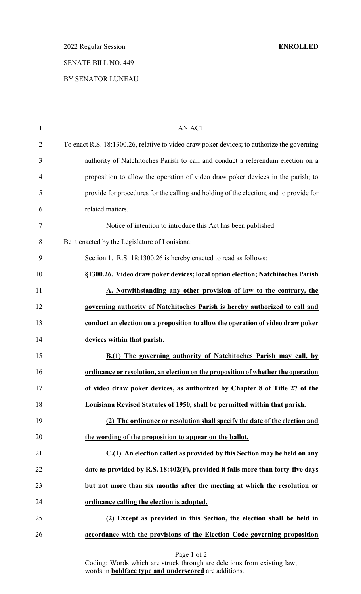2022 Regular Session **ENROLLED**

# SENATE BILL NO. 449

## BY SENATOR LUNEAU

| $\mathbf{1}$   | AN ACT                                                                                     |
|----------------|--------------------------------------------------------------------------------------------|
| $\overline{2}$ | To enact R.S. 18:1300.26, relative to video draw poker devices; to authorize the governing |
| 3              | authority of Natchitoches Parish to call and conduct a referendum election on a            |
| $\overline{4}$ | proposition to allow the operation of video draw poker devices in the parish; to           |
| 5              | provide for procedures for the calling and holding of the election; and to provide for     |
| 6              | related matters.                                                                           |
| 7              | Notice of intention to introduce this Act has been published.                              |
| 8              | Be it enacted by the Legislature of Louisiana:                                             |
| 9              | Section 1. R.S. 18:1300.26 is hereby enacted to read as follows:                           |
| 10             | §1300.26. Video draw poker devices; local option election; Natchitoches Parish             |
| 11             | A. Notwithstanding any other provision of law to the contrary, the                         |
| 12             | governing authority of Natchitoches Parish is hereby authorized to call and                |
| 13             | conduct an election on a proposition to allow the operation of video draw poker            |
| 14             | devices within that parish.                                                                |
| 15             | B.(1) The governing authority of Natchitoches Parish may call, by                          |
| 16             | ordinance or resolution, an election on the proposition of whether the operation           |
| 17             | of video draw poker devices, as authorized by Chapter 8 of Title 27 of the                 |
| 18             | Louisiana Revised Statutes of 1950, shall be permitted within that parish.                 |
| 19             | (2) The ordinance or resolution shall specify the date of the election and                 |
| 20             | the wording of the proposition to appear on the ballot.                                    |
| 21             | C.(1) An election called as provided by this Section may be held on any                    |
| 22             | date as provided by R.S. 18:402(F), provided it falls more than forty-five days            |
| 23             | but not more than six months after the meeting at which the resolution or                  |
| 24             | ordinance calling the election is adopted.                                                 |
| 25             | (2) Except as provided in this Section, the election shall be held in                      |
| 26             | accordance with the provisions of the Election Code governing proposition                  |

Page 1 of 2

Coding: Words which are struck through are deletions from existing law; words in **boldface type and underscored** are additions.